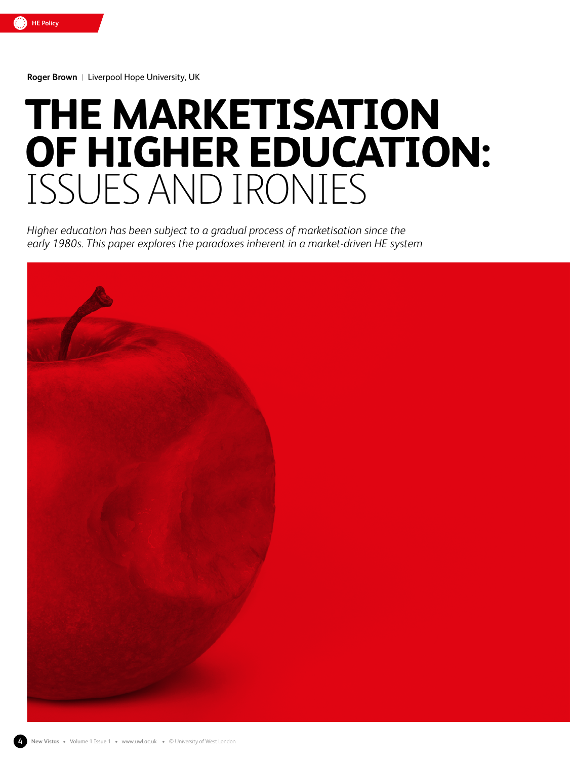

**Roger Brown** |Liverpool Hope University, UK

# **THE MARKETISATION OF HIGHER EDUCATION:**  ISSUES AND IRONIES

*Higher education has been subject to a gradual process of marketisation since the early 1980s. This paper explores the paradoxes inherent in a market-driven HE system*

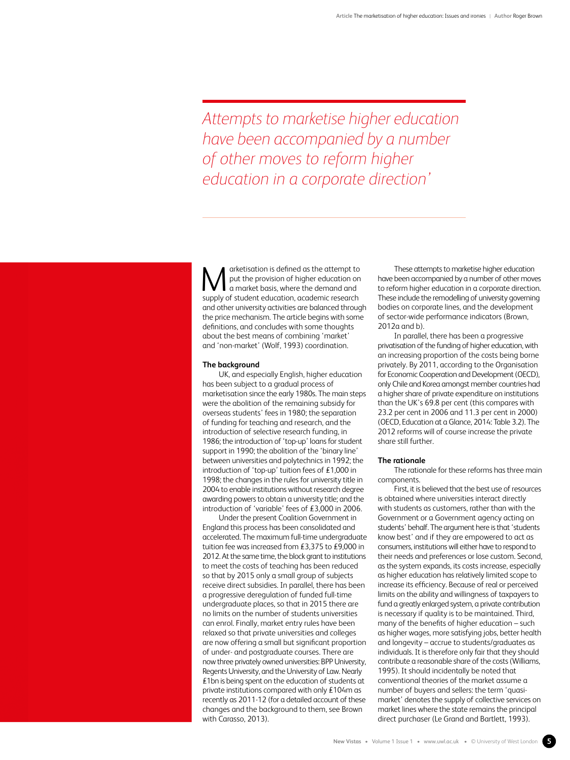*Attempts to marketise higher education have been accompanied by a number of other moves to reform higher education in a corporate direction'*

arketisation is defined as the attempt to put the provision of higher education on a market basis, where the demand and **Supply of student is defined as the attempt to a market basis, where the demand and supply of student education, academic research** and other university activities are balanced through the price mechanism. The article begins with some definitions, and concludes with some thoughts about the best means of combining 'market' and 'non-market' (Wolf, 1993) coordination.

## **The background**

UK, and especially English, higher education has been subject to a gradual process of marketisation since the early 1980s. The main steps were the abolition of the remaining subsidy for overseas students' fees in 1980; the separation of funding for teaching and research, and the introduction of selective research funding, in 1986; the introduction of 'top-up' loans for student support in 1990; the abolition of the 'binary line' between universities and polytechnics in 1992; the introduction of 'top-up' tuition fees of £1,000 in 1998; the changes in the rules for university title in 2004 to enable institutions without research degree awarding powers to obtain a university title; and the introduction of 'variable' fees of £3,000 in 2006.

Under the present Coalition Government in England this process has been consolidated and accelerated. The maximum full-time undergraduate tuition fee was increased from £3,375 to £9,000 in 2012. At the same time, the block grant to institutions to meet the costs of teaching has been reduced so that by 2015 only a small group of subjects receive direct subsidies. In parallel, there has been a progressive deregulation of funded full-time undergraduate places, so that in 2015 there are no limits on the number of students universities can enrol. Finally, market entry rules have been relaxed so that private universities and colleges are now offering a small but significant proportion of under- and postgraduate courses. There are now three privately owned universities: BPP University, Regents University, and the University of Law. Nearly £1bn is being spent on the education of students at private institutions compared with only £104m as recently as 2011-12 (for a detailed account of these changes and the background to them, see Brown with Carasso, 2013).

These attempts to marketise higher education have been accompanied by a number of other moves to reform higher education in a corporate direction. These include the remodelling of university governing bodies on corporate lines, and the development of sector-wide performance indicators (Brown, 2012a and b).

In parallel, there has been a progressive privatisation of the funding of higher education, with an increasing proportion of the costs being borne privately. By 2011, according to the Organisation for Economic Cooperation and Development (OECD), only Chile and Korea amongst member countries had a higher share of private expenditure on institutions than the UK's 69.8 per cent (this compares with 23.2 per cent in 2006 and 11.3 per cent in 2000) (OECD, Education at a Glance, 2014: Table 3.2). The 2012 reforms will of course increase the private share still further.

## **The rationale**

The rationale for these reforms has three main components.

First, it is believed that the best use of resources is obtained where universities interact directly with students as customers, rather than with the Government or a Government agency acting on students' behalf. The argument here is that 'students know best' and if they are empowered to act as consumers, institutions will either have to respond to their needs and preferences or lose custom. Second, as the system expands, its costs increase, especially as higher education has relatively limited scope to increase its efficiency. Because of real or perceived limits on the ability and willingness of taxpayers to fund a greatly enlarged system, a private contribution is necessary if quality is to be maintained. Third, many of the benefits of higher education – such as higher wages, more satisfying jobs, better health and longevity – accrue to students/graduates as individuals. It is therefore only fair that they should contribute a reasonable share of the costs (Williams, 1995). It should incidentally be noted that conventional theories of the market assume a number of buyers and sellers: the term 'quasimarket' denotes the supply of collective services on market lines where the state remains the principal direct purchaser (Le Grand and Bartlett, 1993).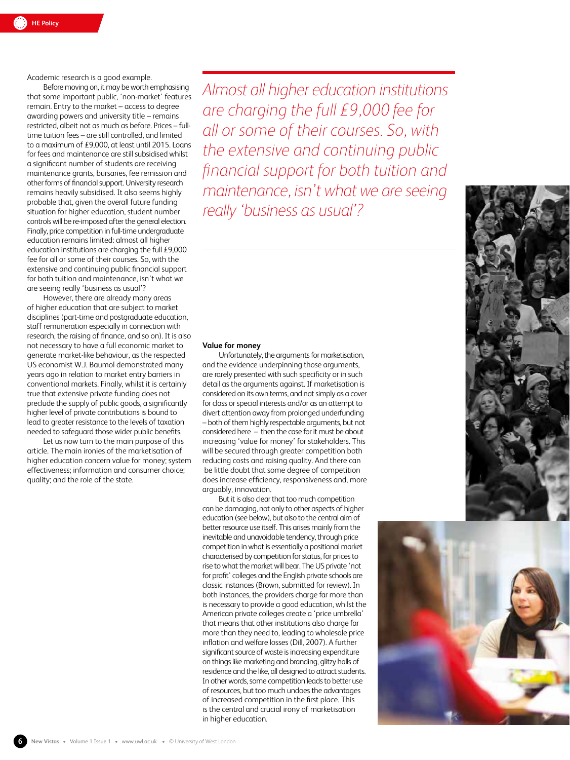Academic research is a good example.

Before moving on, it may be worth emphasising that some important public, 'non-market' features remain. Entry to the market – access to degree awarding powers and university title – remains restricted, albeit not as much as before. Prices – fulltime tuition fees – are still controlled, and limited to a maximum of £9,000, at least until 2015. Loans for fees and maintenance are still subsidised whilst a significant number of students are receiving maintenance grants, bursaries, fee remission and other forms of financial support. University research remains heavily subsidised. It also seems highly probable that, given the overall future funding situation for higher education, student number controls will be re-imposed after the general election. Finally, price competition in full-time undergraduate education remains limited: almost all higher education institutions are charging the full £9,000 fee for all or some of their courses. So, with the extensive and continuing public financial support for both tuition and maintenance, isn't what we are seeing really 'business as usual'?

However, there are already many areas of higher education that are subject to market disciplines (part-time and postgraduate education, staff remuneration especially in connection with research, the raising of finance, and so on). It is also not necessary to have a full economic market to generate market-like behaviour, as the respected US economist W.J. Baumol demonstrated many years ago in relation to market entry barriers in conventional markets. Finally, whilst it is certainly true that extensive private funding does not preclude the supply of public goods, a significantly higher level of private contributions is bound to lead to greater resistance to the levels of taxation needed to safeguard those wider public benefits.

Let us now turn to the main purpose of this article. The main ironies of the marketisation of higher education concern value for money; system effectiveness; information and consumer choice; quality; and the role of the state.

*Almost all higher education institutions are charging the full £9,000 fee for all or some of their courses. So, with the extensive and continuing public financial support for both tuition and maintenance, isn't what we are seeing really 'business as usual'?*

## **Value for money**

Unfortunately, the arguments for marketisation, and the evidence underpinning those arguments, are rarely presented with such specificity or in such detail as the arguments against. If marketisation is considered on its own terms, and not simply as a cover for class or special interests and/or as an attempt to divert attention away from prolonged underfunding – both of them highly respectable arguments, but not considered here – then the case for it must be about increasing 'value for money' for stakeholders. This will be secured through greater competition both reducing costs and raising quality. And there can be little doubt that some degree of competition does increase efficiency, responsiveness and, more arguably, innovation.

But it is also clear that too much competition can be damaging, not only to other aspects of higher education (see below), but also to the central aim of better resource use itself. This arises mainly from the inevitable and unavoidable tendency, through price competition in what is essentially a positional market characterised by competition for status, for prices to rise to what the market will bear. The US private 'not for profit' colleges and the English private schools are classic instances (Brown, submitted for review). In both instances, the providers charge far more than is necessary to provide a good education, whilst the American private colleges create a 'price umbrella' that means that other institutions also charge far more than they need to, leading to wholesale price inflation and welfare losses (Dill, 2007). A further significant source of waste is increasing expenditure on things like marketing and branding, glitzy halls of residence and the like, all designed to attract students. In other words, some competition leads to better use of resources, but too much undoes the advantages of increased competition in the first place. This is the central and crucial irony of marketisation in higher education.



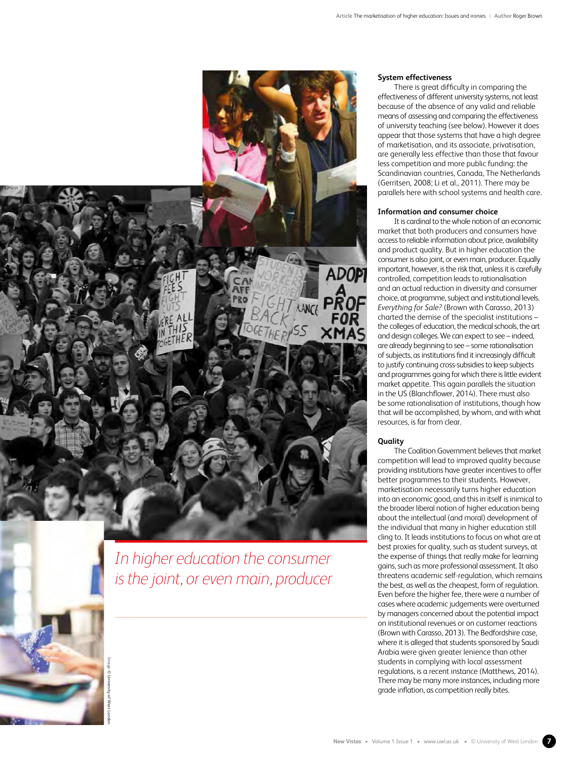

*In higher education the consumer is the joint, or even main, producer*

Image

**© University of West London**

## **System effectiveness**

There is great difficulty in comparing the effectiveness of different university systems, not least because of the absence of any valid and reliable means of assessing and comparing the effectiveness of university teaching (see below). However it does appear that those systems that have a high degree of marketisation, and its associate, privatisation, are generally less effective than those that favour less competition and more public funding: the Scandinavian countries, Canada, The Netherlands (Gerritsen, 2008; Li et al., 2011). There may be parallels here with school systems and health care.

# **Information and consumer choice**

It is cardinal to the whole notion of an economic market that both producers and consumers have access to reliable information about price, availability and product quality. But in higher education the consumer is also joint, or even main, producer. Equally important, however, is the risk that, unless it is carefully controlled, competition leads to rationalisation and an actual reduction in diversity and consumer choice, at programme, subject and institutional levels. *Everything for Sale?* (Brown with Carasso, 2013) charted the demise of the specialist institutions – the colleges of education, the medical schools, the art and design colleges. We can expect to see – indeed, are already beginning to see – some rationalisation of subjects, as institutions find it increasingly difficult to justify continuing cross-subsidies to keep subjects and programmes going for which there is little evident market appetite. This again parallels the situation in the US (Blanchflower, 2014). There must also be some rationalisation of institutions, though how that will be accomplished, by whom, and with what resources, is far from clear.

# **Quality**

The Coalition Government believes that market competition will lead to improved quality because providing institutions have greater incentives to offer better programmes to their students. However, marketisation necessarily turns higher education into an economic good, and this in itself is inimical to the broader liberal notion of higher education being about the intellectual (and moral) development of the individual that many in higher education still cling to. It leads institutions to focus on what are at best proxies for quality, such as student surveys, at the expense of things that really make for learning gains, such as more professional assessment. It also threatens academic self-regulation, which remains the best, as well as the cheapest, form of regulation. Even before the higher fee, there were a number of cases where academic judgements were overturned by managers concerned about the potential impact on institutional revenues or on customer reactions (Brown with Carasso, 2013). The Bedfordshire case, where it is alleged that students sponsored by Saudi Arabia were given greater lenience than other students in complying with local assessment regulations, is a recent instance (Matthews, 2014). There may be many more instances, including more grade inflation, as competition really bites.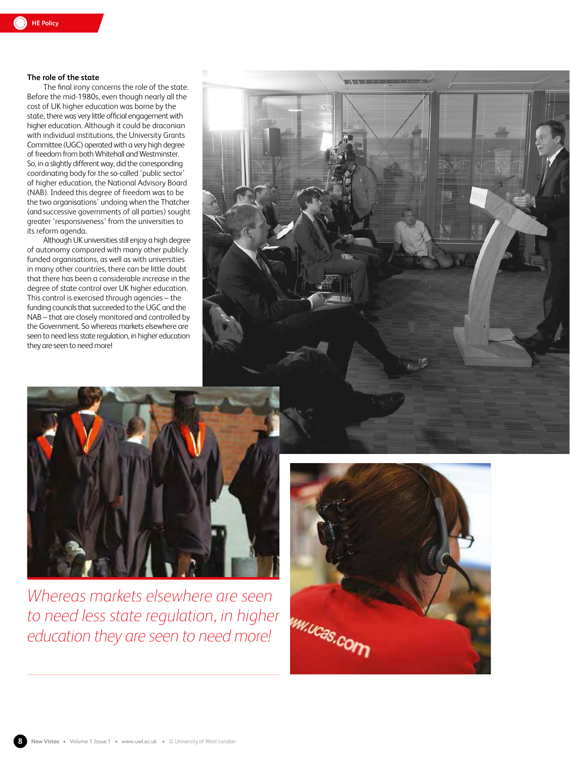# **The role of the state**

The final irony concerns the role of the state. Before the mid-1980s, even though nearly all the cost of UK higher education was borne by the state, there was very little official engagement with higher education. Although it could be draconian with individual institutions, the University Grants Committee (UGC) operated with a very high degree of freedom from both Whitehall and Westminster. So, in a slightly different way, did the corresponding coordinating body for the so-called 'public sector' of higher education, the National Advisory Board (NAB). Indeed this degree of freedom was to be the two organisations' undoing when the Thatcher (and successive governments of all parties) sought greater 'responsiveness' from the universities to its reform agenda.

Although UK universities still enjoy a high degree of autonomy compared with many other publicly funded organisations, as well as with universities in many other countries, there can be little doubt that there has been a considerable increase in the degree of state control over UK higher education. This control is exercised through agencies – the funding councils that succeeded to the UGC and the NAB – that are closely monitored and controlled by the Government. So whereas markets elsewhere are seen to need less state regulation, in higher education they are seen to need more!





*Whereas markets elsewhere are seen to need less state regulation, in higher education they are seen to need more!*